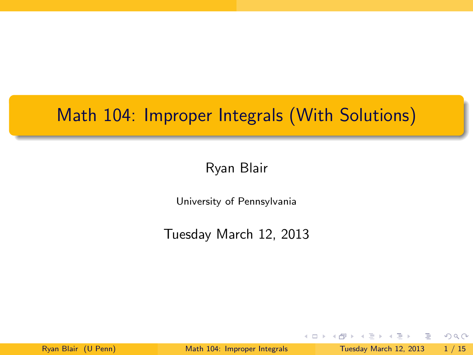# Math 104: Improper Integrals (With Solutions)

Ryan Blair

University of Pennsylvania

Tuesday March 12, 2013

 $\rightarrow \equiv$   $\rightarrow$ Ryan Blair (U Penn) [Math 104: Improper Integrals](#page-19-0) Tuesday March 12, 2013 1 / 15

D.

<span id="page-0-0"></span> $2Q$ 

 $\mathbf{p}$ 

E.

**← ロ ▶ → / 同**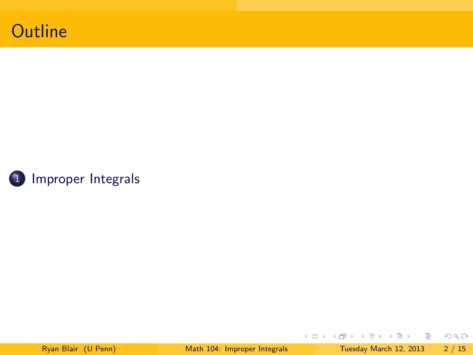



イロト イ部 トイモト イモト

一番

<span id="page-1-0"></span> $2Q$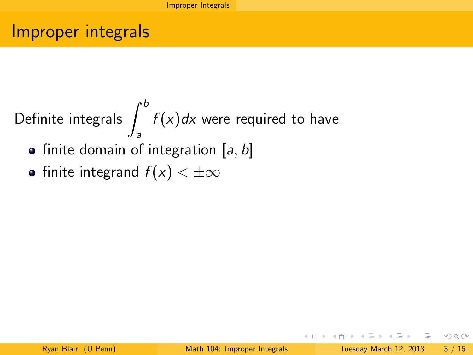### Improper integrals

Definite integrals 
$$
\int_{a}^{b} f(x)dx
$$
 were required to have

- $\bullet$  finite domain of integration [a, b]
- finite integrand  $f(x) < \pm \infty$

D.

<span id="page-2-0"></span> $2Q$ 

 $\mathcal{A} \cong \mathcal{B} \times \mathcal{A} \cong \mathcal{B}$ 

**←ロト ←何ト**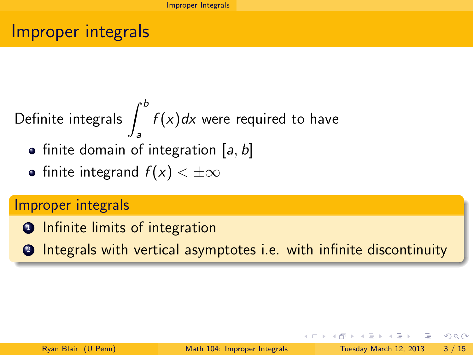### Improper integrals

Definite integrals 
$$
\int_{a}^{b} f(x)dx
$$
 were required to have

- $\bullet$  finite domain of integration [a, b]
- finite integrand  $f(x) < \pm \infty$

#### Improper integrals

- **1** Infinite limits of integration
- <sup>2</sup> Integrals with vertical asymptotes i.e. with infinite discontinuity

<span id="page-3-0"></span> $QQ$ 

医毛囊 医牙骨下的

⊣ □ ▶ ⊣ *□* ▶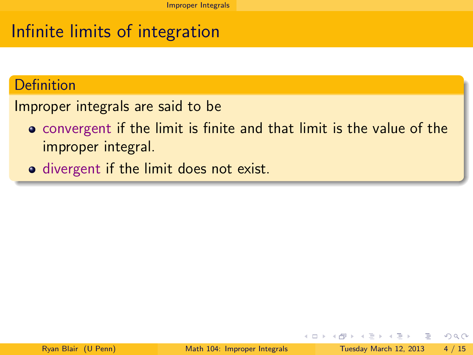# Infinite limits of integration

#### Definition

Improper integrals are said to be

- convergent if the limit is finite and that limit is the value of the improper integral.
- divergent if the limit does not exist.

4 **D** F

<span id="page-4-0"></span> $QQ$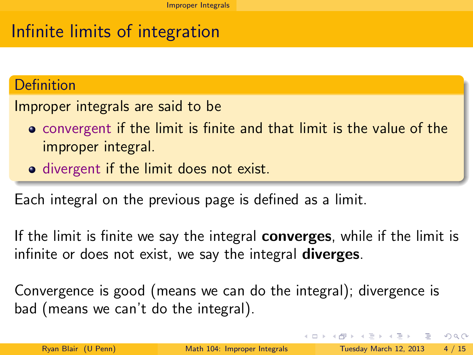# Infinite limits of integration

#### **Definition**

Improper integrals are said to be

- convergent if the limit is finite and that limit is the value of the improper integral.
- divergent if the limit does not exist.

Each integral on the previous page is defined as a limit.

If the limit is finite we say the integral **converges**, while if the limit is infinite or does not exist, we say the integral **diverges**.

Convergence is good (means we can do the integral); divergence is bad (means we can't do the integral).

<span id="page-5-0"></span> $QQ$ 

 $A \cup B \rightarrow A \oplus B \rightarrow A \oplus B \rightarrow A \oplus B \rightarrow B \oplus B$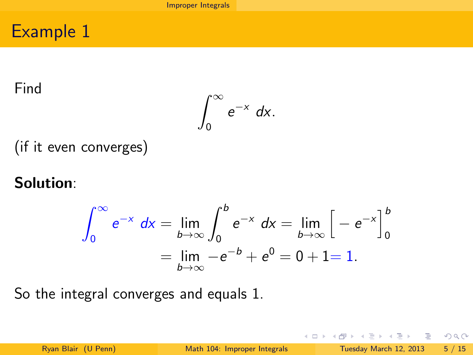#### Find

$$
\int_0^\infty e^{-x} dx.
$$

(if it even converges)

### Solution:

$$
\int_0^{\infty} e^{-x} dx = \lim_{b \to \infty} \int_0^b e^{-x} dx = \lim_{b \to \infty} \left[ -e^{-x} \right]_0^b
$$
  
=  $\lim_{b \to \infty} -e^{-b} + e^0 = 0 + 1 = 1.$ 

So the integral converges and equals 1.

D.

<span id="page-6-0"></span> $2Q$ 

**←ロト ←何ト** 

 $\prec$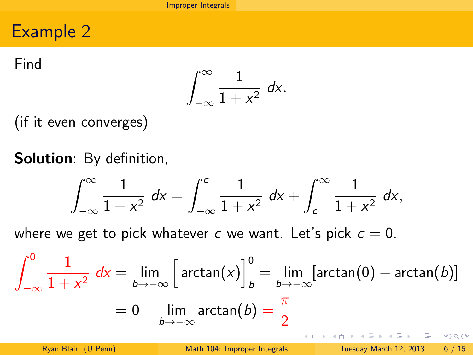Find

$$
\int_{-\infty}^{\infty} \frac{1}{1+x^2} \ dx.
$$

(if it even converges)

Solution: By definition,

$$
\int_{-\infty}^{\infty} \frac{1}{1+x^2} \ dx = \int_{-\infty}^{c} \frac{1}{1+x^2} \ dx + \int_{c}^{\infty} \frac{1}{1+x^2} \ dx,
$$

where we get to pick whatever c we want. Let's pick  $c = 0$ .

$$
\int_{-\infty}^{0} \frac{1}{1+x^2} dx = \lim_{b \to -\infty} \left[ \arctan(x) \right]_{b}^{0} = \lim_{b \to -\infty} \left[ \arctan(0) - \arctan(b) \right]
$$

$$
= 0 - \lim_{b \to -\infty} \arctan(b) = \frac{\pi}{2}
$$

<span id="page-7-0"></span> $2Q$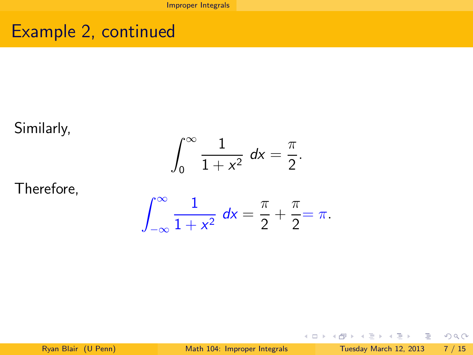# Example 2, continued

#### Similarly,

$$
\int_0^\infty \frac{1}{1+x^2} \ dx = \frac{\pi}{2}.
$$

#### Therefore,

$$
\int_{-\infty}^{\infty} \frac{1}{1+x^2} \, dx = \frac{\pi}{2} + \frac{\pi}{2} = \pi.
$$

目

<span id="page-8-0"></span> $2Q$ 

イロト イ部 トイモト イモト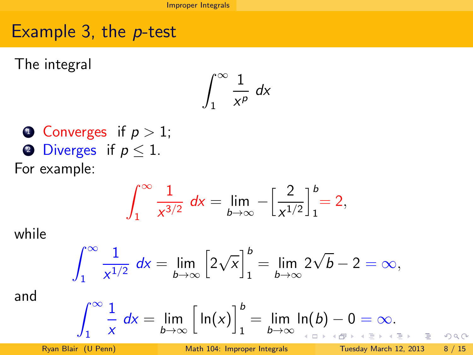# Example 3, the p-test

The integral

$$
\int_1^\infty \frac{1}{x^p} \ dx
$$

\n- Converges if 
$$
p > 1
$$
;
\n- Diverges if  $p \leq 1$ .
\n- For example:
\n

$$
\int_{1}^{\infty} \frac{1}{x^{3/2}} dx = \lim_{b \to \infty} -\left[\frac{2}{x^{1/2}}\right]_{1}^{b} = 2,
$$

while

$$
\int_{1}^{\infty} \frac{1}{x^{1/2}} dx = \lim_{b \to \infty} \left[ 2\sqrt{x} \right]_{1}^{b} = \lim_{b \to \infty} 2\sqrt{b} - 2 = \infty,
$$

and

$$
\int_{1}^{\infty} \frac{1}{x} dx = \lim_{b \to \infty} \left[ ln(x) \right]_{1}^{b} = \lim_{b \to \infty} ln(b) - 0 = \infty.
$$

Þ

 $\mathbf{p}$ 

<span id="page-9-0"></span> $2Q$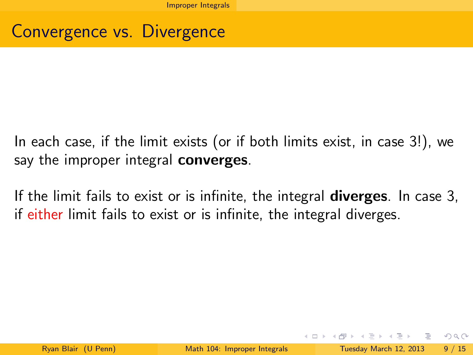### Convergence vs. Divergence

In each case, if the limit exists (or if both limits exist, in case 3!), we say the improper integral **converges**.

If the limit fails to exist or is infinite, the integral **diverges**. In case 3, if either limit fails to exist or is infinite, the integral diverges.

<span id="page-10-0"></span> $QQ$ 

イロト イ母ト イヨト イヨト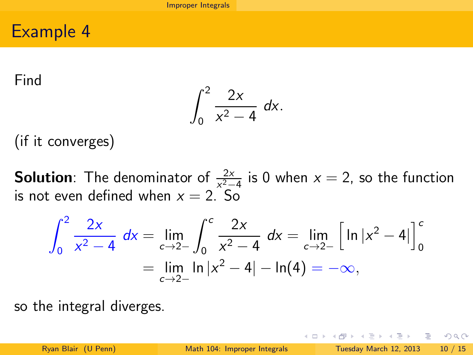Find

<span id="page-11-0"></span>
$$
\int_0^2 \frac{2x}{x^2-4} \ dx.
$$

(if it converges)

**Solution**: The denominator of  $\frac{2x}{x^2-4}$  is 0 when  $x = 2$ , so the function **EXECUTE:** The definition of  $x^2-4$ <br>is not even defined when  $x = 2$ . So

$$
\int_0^2 \frac{2x}{x^2 - 4} dx = \lim_{\epsilon \to 2^-} \int_0^{\epsilon} \frac{2x}{x^2 - 4} dx = \lim_{\epsilon \to 2^-} \left[ \ln|x^2 - 4| \right]_0^{\epsilon}
$$
  
=  $\lim_{\epsilon \to 2^-} \ln|x^2 - 4| - \ln(4) = -\infty$ ,

so the integral diverges.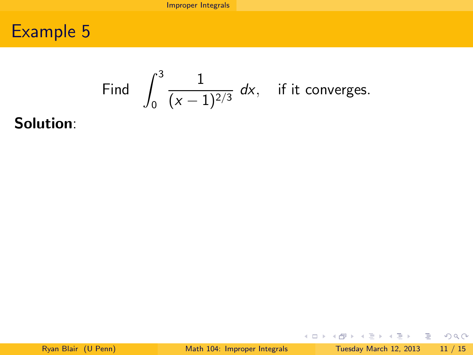Find 
$$
\int_0^3 \frac{1}{(x-1)^{2/3}} dx
$$
, if it converges.

Solution:

イロト イ部 トイモト イモト

<span id="page-12-0"></span> $OQ$ 

目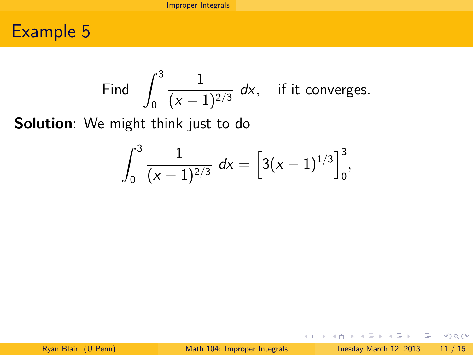Find 
$$
\int_0^3 \frac{1}{(x-1)^{2/3}} dx
$$
, if it converges.

Solution: We might think just to do

$$
\int_0^3 \frac{1}{(x-1)^{2/3}} \ dx = \left[3(x-1)^{1/3}\right]_0^3,
$$

目

<span id="page-13-0"></span> $2Q$ 

イロト イ部 トイモト イモトー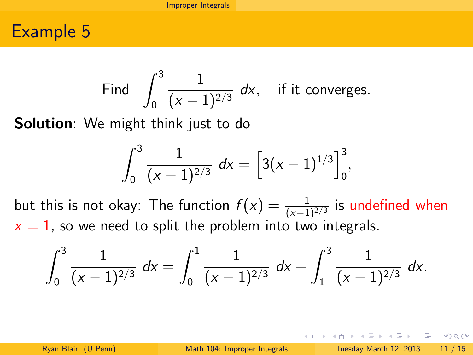Find 
$$
\int_0^3 \frac{1}{(x-1)^{2/3}} dx
$$
, if it converges.

**Solution**: We might think just to do

$$
\int_0^3 \frac{1}{(x-1)^{2/3}} \ dx = \left[3(x-1)^{1/3}\right]_0^3,
$$

but this is not okay: The function  $f(x) = \frac{1}{(x-1)^{2/3}}$  is undefined when  $x = 1$ , so we need to split the problem into two integrals.

$$
\int_0^3 \frac{1}{(x-1)^{2/3}} \ dx = \int_0^1 \frac{1}{(x-1)^{2/3}} \ dx + \int_1^3 \frac{1}{(x-1)^{2/3}} \ dx.
$$

<span id="page-14-0"></span> $\Omega$ 

 $A \cup B \rightarrow A \oplus B \rightarrow A \oplus B \rightarrow A \oplus B \rightarrow B \oplus B$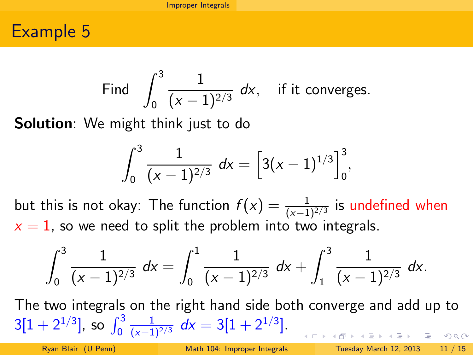Find 
$$
\int_0^3 \frac{1}{(x-1)^{2/3}} dx
$$
, if it converges.

**Solution**: We might think just to do

$$
\int_0^3 \frac{1}{(x-1)^{2/3}} \ dx = \left[3(x-1)^{1/3}\right]_0^3,
$$

but this is not okay: The function  $f(x) = \frac{1}{(x-1)^{2/3}}$  is undefined when  $x = 1$ , so we need to split the problem into two integrals.

$$
\int_0^3 \frac{1}{(x-1)^{2/3}} \ dx = \int_0^1 \frac{1}{(x-1)^{2/3}} \ dx + \int_1^3 \frac{1}{(x-1)^{2/3}} \ dx.
$$

The two integrals on the right hand side both converge and add up to  $3[1+2^{1/3}]$ , so  $\int_0^3$  $\frac{1}{(x-1)^{2/3}} dx = 3[1+2^{1/3}].$  $R$ 

 $\ddot{\phantom{0}}$ 

<span id="page-15-0"></span>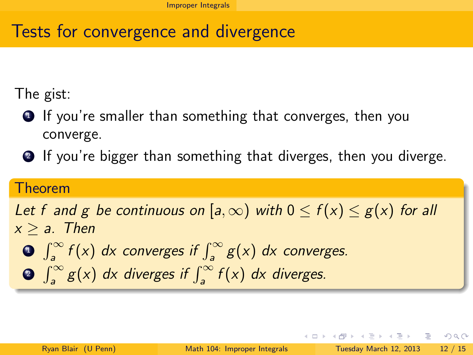# Tests for convergence and divergence

The gist:

- $\bullet$  If you're smaller than something that converges, then you converge.
- <sup>2</sup> If you're bigger than something that diverges, then you diverge.

#### Theorem

#### Let f and g be continuous on [a,  $\infty$ ) with  $0 \le f(x) \le g(x)$  for all  $x > a$ . Then

- $\int_{a}^{\infty} f(x) dx$  converges if  $\int_{a}^{\infty} g(x) dx$  converges.
- <span id="page-16-0"></span>**3**  $\int_{a}^{\infty} g(x) dx$  diverges if  $\int_{a}^{\infty} f(x) dx$  diverges.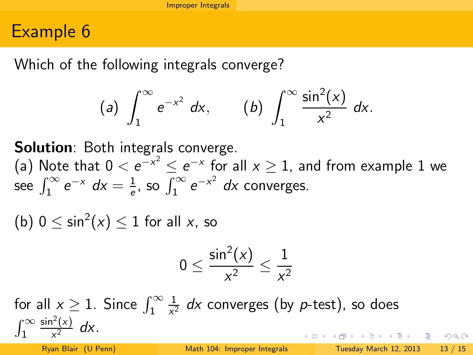Which of the following integrals converge?

(a) 
$$
\int_{1}^{\infty} e^{-x^{2}} dx
$$
, (b)  $\int_{1}^{\infty} \frac{\sin^{2}(x)}{x^{2}} dx$ .

**Solution**: Both integrals converge.

(a) Note that  $0 < e^{-x^2} \le e^{-x}$  for all  $x \ge 1$ , and from example 1 we see  $\int_1^\infty e^{-x} dx = \frac{1}{e}$  $\frac{1}{e}$ , so  $\int_{1}^{\infty} e^{-x^2} dx$  converges.

(b)  $0 \le \sin^2(x) \le 1$  for all x, so

$$
0\leq \frac{\sin^2(x)}{x^2}\leq \frac{1}{x^2}
$$

1 for all  $x \geq 1$ . Since  $\int_1^\infty$  $\frac{1}{x^2}$  dx converges (by p-test), so does  $\sin^2(x)$  $\int_1^\infty$  $\frac{x^{2}}{x^{2}}$  dx. K ロ ▶ K @ ▶ K 할 ▶ K 할 ▶ ... 할 → 9 Q @

Ryan Blair (U Penn) [Math 104: Improper Integrals](#page-0-0) Tuesday March 12, 2013 13 / 15

<span id="page-17-0"></span>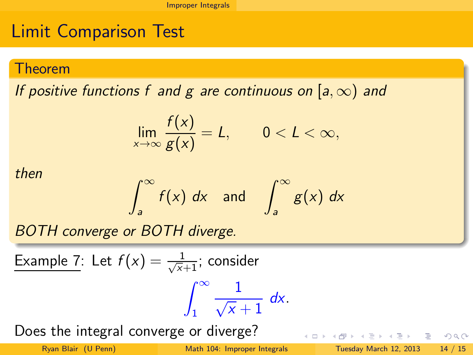# Limit Comparison Test

#### Theorem

If positive functions f and g are continuous on [a,  $\infty$ ) and

$$
\lim_{x\to\infty}\frac{f(x)}{g(x)}=L,\qquad 0
$$

then

$$
\int_{a}^{\infty} f(x) \ dx \quad \text{and} \quad \int_{a}^{\infty} g(x) \ dx
$$

BOTH converge or BOTH diverge.

Example 7: Let 
$$
f(x) = \frac{1}{\sqrt{x}+1}
$$
; consider  

$$
\int_{1}^{\infty} \frac{1}{\sqrt{x}+1} dx.
$$

Does the integral converge or diverge?

**←ロト ←何ト** 

경기 시중에 있을

<span id="page-18-0"></span> $OQ$